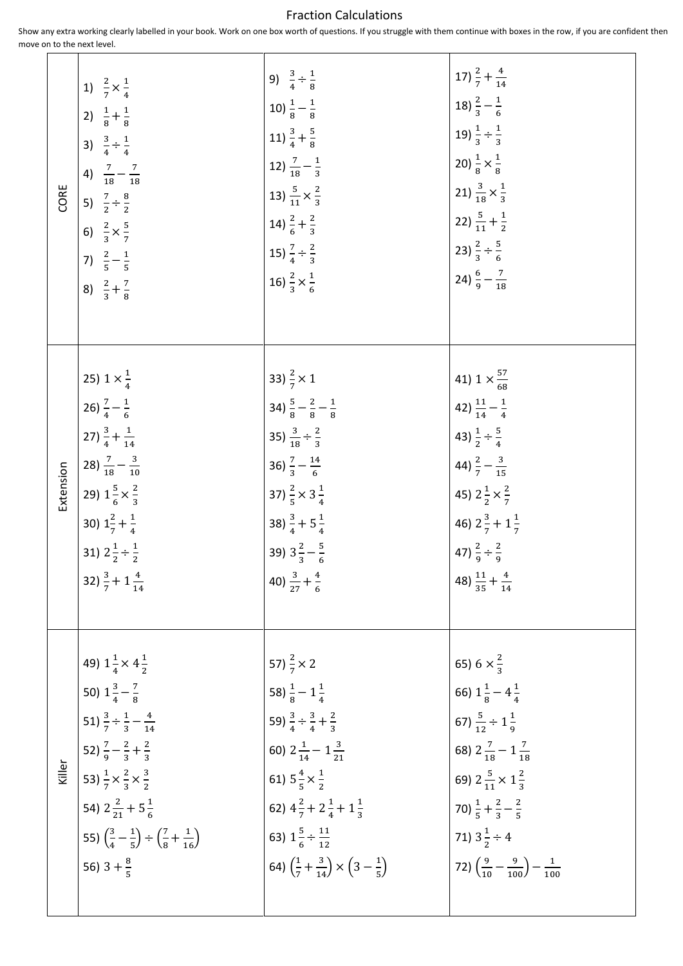## Fraction Calculations

Show any extra working clearly labelled in your book. Work on one box worth of questions. If you struggle with them continue with boxes in the row, if you are confident then move on to the next level.

| CORE      | 1) $\frac{2}{7} \times \frac{1}{4}$                                                       | 9) $\frac{3}{4} \div \frac{1}{8}$                                                 | 17) $\frac{2}{7} + \frac{4}{14}$                                |
|-----------|-------------------------------------------------------------------------------------------|-----------------------------------------------------------------------------------|-----------------------------------------------------------------|
|           | 2) $\frac{1}{8} + \frac{1}{8}$                                                            | 10) $\frac{1}{8} - \frac{1}{8}$                                                   | 18) $\frac{2}{3} - \frac{1}{6}$                                 |
|           | 3) $\frac{3}{4} \div \frac{1}{4}$                                                         | 11) $\frac{3}{4} + \frac{5}{8}$                                                   | 19) $\frac{1}{3} \div \frac{1}{3}$                              |
|           | 4) $\frac{7}{18} - \frac{7}{18}$                                                          | 12) $\frac{7}{18} - \frac{1}{3}$                                                  | 20) $\frac{1}{8} \times \frac{1}{8}$                            |
|           | 5) $\frac{7}{2} \div \frac{8}{2}$                                                         | 13) $\frac{5}{11} \times \frac{2}{3}$                                             | 21) $\frac{3}{18} \times \frac{1}{3}$                           |
|           | 6) $\frac{2}{3} \times \frac{5}{7}$                                                       | 14) $\frac{2}{6} + \frac{2}{3}$                                                   | 22) $\frac{5}{11} + \frac{1}{2}$                                |
|           | 7) $\frac{2}{5} - \frac{1}{5}$                                                            | 15) $\frac{7}{4} \div \frac{2}{3}$                                                | 23) $\frac{2}{3} \div \frac{5}{6}$                              |
|           | 8) $\frac{2}{3} + \frac{7}{8}$                                                            | 16) $\frac{2}{3} \times \frac{1}{6}$                                              | 24) $\frac{6}{9} - \frac{7}{10}$                                |
| Extension | 25) $1 \times \frac{1}{4}$                                                                | 33) $\frac{2}{7} \times 1$                                                        | 41) $1 \times \frac{57}{68}$                                    |
|           | 26) $\frac{7}{4} - \frac{1}{6}$                                                           | 34) $\frac{5}{8} - \frac{2}{8} - \frac{1}{8}$                                     | 42) $\frac{11}{14} - \frac{1}{4}$                               |
|           | 27) $\frac{3}{4} + \frac{1}{14}$                                                          | 35) $\frac{3}{18} \div \frac{2}{3}$                                               | 43) $\frac{1}{2} \div \frac{5}{4}$                              |
|           | 28) $\frac{7}{18} - \frac{3}{10}$                                                         | 36) $\frac{7}{3} - \frac{14}{6}$                                                  | 44) $\frac{2}{7} - \frac{3}{15}$                                |
|           | 29) $1\frac{5}{6} \times \frac{2}{3}$                                                     | 37) $\frac{2}{5} \times 3\frac{1}{4}$                                             | 45) $2\frac{1}{2}\times\frac{2}{7}$                             |
|           | 30) $1\frac{2}{7} + \frac{1}{4}$                                                          | 38) $\frac{3}{4} + 5\frac{1}{4}$                                                  | 46) $2\frac{3}{7}+1\frac{1}{7}$                                 |
|           | 31) $2\frac{1}{2} \div \frac{1}{2}$                                                       | 39) $3\frac{2}{3} - \frac{5}{6}$                                                  | 47) $\frac{2}{9} \div \frac{2}{9}$                              |
|           | 32) $\frac{3}{7} + 1\frac{4}{14}$                                                         | 40) $\frac{3}{27} + \frac{4}{6}$                                                  | 48) $\frac{11}{35} + \frac{4}{14}$                              |
| Killer    | 49) $1\frac{1}{4} \times 4\frac{1}{2}$                                                    | 57) $\frac{2}{7} \times 2$                                                        | 65) $6 \times \frac{2}{3}$                                      |
|           | 50) $1\frac{3}{4} - \frac{7}{8}$                                                          | 58) $\frac{1}{8}$ – 1 $\frac{1}{4}$                                               | 66) $1\frac{1}{8}$ – $4\frac{1}{4}$                             |
|           | 51) $\frac{3}{7} \div \frac{1}{3} - \frac{4}{14}$                                         | 59) $\frac{3}{4} \div \frac{3}{4} + \frac{2}{3}$                                  | 67) $\frac{5}{12} \div 1\frac{1}{9}$                            |
|           | 52) $\frac{7}{9} - \frac{2}{3} + \frac{2}{3}$                                             | 60) $2\frac{1}{14} - 1\frac{3}{21}$                                               | 68) $2\frac{7}{18} - 1\frac{7}{18}$                             |
|           | 53) $\frac{1}{7} \times \frac{2}{3} \times \frac{3}{2}$                                   | 61) $5\frac{4}{5} \times \frac{1}{2}$                                             | 69) $2\frac{5}{11}\times 1\frac{2}{3}$                          |
|           | 54) $2\frac{2}{31}+5\frac{1}{6}$                                                          | 62) $4\frac{2}{7} + 2\frac{1}{4} + 1\frac{1}{3}$                                  | 70) $\frac{1}{5} + \frac{2}{3} - \frac{2}{5}$                   |
|           | 55) $\left(\frac{3}{4} - \frac{1}{5}\right) \div \left(\frac{7}{8} + \frac{1}{16}\right)$ | 63) $1\frac{5}{6} \div \frac{11}{12}$                                             | 71) $3\frac{1}{2} \div 4$                                       |
|           | 56) $3 + \frac{8}{5}$                                                                     | 64) $\left(\frac{1}{7} + \frac{3}{14}\right) \times \left(3 - \frac{1}{5}\right)$ | 72) $\left(\frac{9}{10} - \frac{9}{100}\right) - \frac{1}{100}$ |